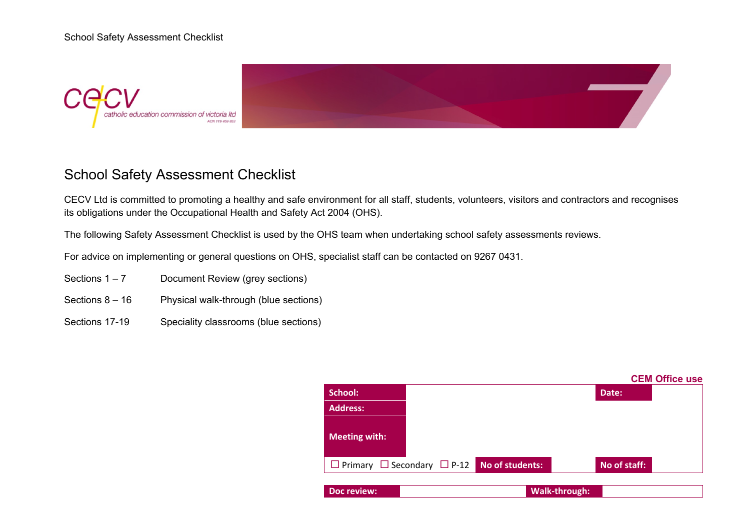



## School Safety Assessment Checklist

CECV Ltd is committed to promoting a healthy and safe environment for all staff, students, volunteers, visitors and contractors and recognises its obligations under the Occupational Health and Safety Act 2004 (OHS).

The following Safety Assessment Checklist is used by the OHS team when undertaking school safety assessments reviews.

For advice on implementing or general questions on OHS, specialist staff can be contacted on 9267 0431.

- Sections  $1 7$  Document Review (grey sections)
- Sections 8 16 Physical walk-through (blue sections)
- Sections 17-19 Speciality classrooms (blue sections)

|                                                             |  | <b>CEM Office use</b> |
|-------------------------------------------------------------|--|-----------------------|
| <b>School:</b>                                              |  | Date:                 |
| <b>Address:</b>                                             |  |                       |
| <b>Meeting with:</b>                                        |  |                       |
| $\Box$ Primary $\Box$ Secondary $\Box$ P-12 No of students: |  | No of staff:          |
| Doc review:                                                 |  | Walk-through:         |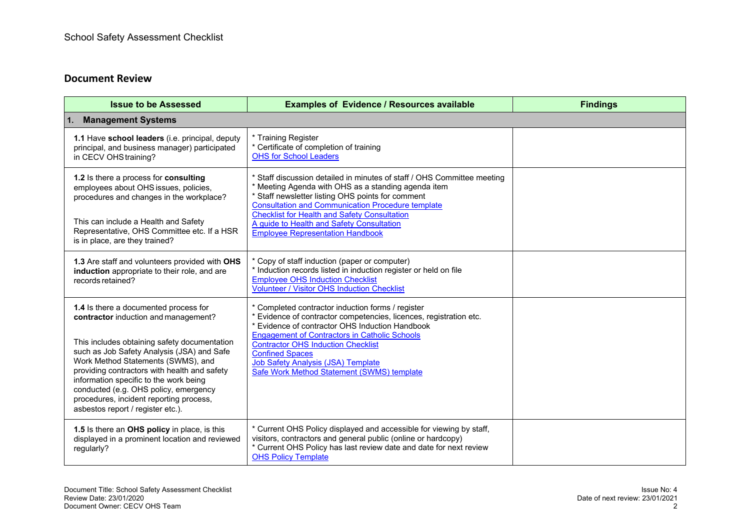## **Document Review**

| <b>Issue to be Assessed</b>                                                                                                                                                                                                                                                                                                                                                                                                          | <b>Examples of Evidence / Resources available</b>                                                                                                                                                                                                                                                                                                                                                    | <b>Findings</b> |  |
|--------------------------------------------------------------------------------------------------------------------------------------------------------------------------------------------------------------------------------------------------------------------------------------------------------------------------------------------------------------------------------------------------------------------------------------|------------------------------------------------------------------------------------------------------------------------------------------------------------------------------------------------------------------------------------------------------------------------------------------------------------------------------------------------------------------------------------------------------|-----------------|--|
| 1.<br><b>Management Systems</b>                                                                                                                                                                                                                                                                                                                                                                                                      |                                                                                                                                                                                                                                                                                                                                                                                                      |                 |  |
| 1.1 Have school leaders (i.e. principal, deputy<br>principal, and business manager) participated<br>in CECV OHS training?                                                                                                                                                                                                                                                                                                            | * Training Register<br>* Certificate of completion of training<br><b>OHS for School Leaders</b>                                                                                                                                                                                                                                                                                                      |                 |  |
| 1.2 Is there a process for consulting<br>employees about OHS issues, policies,<br>procedures and changes in the workplace?<br>This can include a Health and Safety<br>Representative, OHS Committee etc. If a HSR<br>is in place, are they trained?                                                                                                                                                                                  | * Staff discussion detailed in minutes of staff / OHS Committee meeting<br>* Meeting Agenda with OHS as a standing agenda item<br>* Staff newsletter listing OHS points for comment<br><b>Consultation and Communication Procedure template</b><br><b>Checklist for Health and Safety Consultation</b><br>A guide to Health and Safety Consultation<br><b>Employee Representation Handbook</b>       |                 |  |
| 1.3 Are staff and volunteers provided with OHS<br>induction appropriate to their role, and are<br>records retained?                                                                                                                                                                                                                                                                                                                  | * Copy of staff induction (paper or computer)<br>* Induction records listed in induction register or held on file<br><b>Employee OHS Induction Checklist</b><br><b>Volunteer / Visitor OHS Induction Checklist</b>                                                                                                                                                                                   |                 |  |
| 1.4 Is there a documented process for<br>contractor induction and management?<br>This includes obtaining safety documentation<br>such as Job Safety Analysis (JSA) and Safe<br>Work Method Statements (SWMS), and<br>providing contractors with health and safety<br>information specific to the work being<br>conducted (e.g. OHS policy, emergency<br>procedures, incident reporting process,<br>asbestos report / register etc.). | * Completed contractor induction forms / register<br>* Evidence of contractor competencies, licences, registration etc.<br>* Evidence of contractor OHS Induction Handbook<br><b>Engagement of Contractors in Catholic Schools</b><br><b>Contractor OHS Induction Checklist</b><br><b>Confined Spaces</b><br><b>Job Safety Analysis (JSA) Template</b><br>Safe Work Method Statement (SWMS) template |                 |  |
| 1.5 Is there an OHS policy in place, is this<br>displayed in a prominent location and reviewed<br>regularly?                                                                                                                                                                                                                                                                                                                         | * Current OHS Policy displayed and accessible for viewing by staff,<br>visitors, contractors and general public (online or hardcopy)<br>* Current OHS Policy has last review date and date for next review<br><b>OHS Policy Template</b>                                                                                                                                                             |                 |  |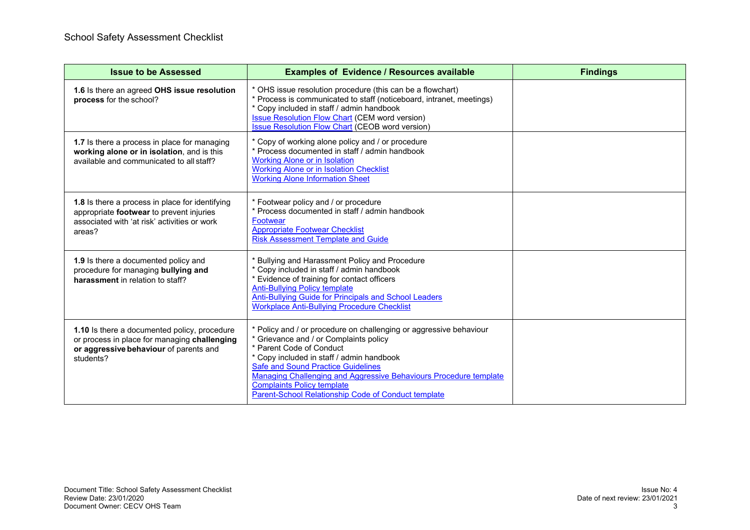| <b>Issue to be Assessed</b>                                                                                                                           | <b>Examples of Evidence / Resources available</b>                                                                                                                                                                                                                                                                                                                                                   | <b>Findings</b> |
|-------------------------------------------------------------------------------------------------------------------------------------------------------|-----------------------------------------------------------------------------------------------------------------------------------------------------------------------------------------------------------------------------------------------------------------------------------------------------------------------------------------------------------------------------------------------------|-----------------|
| 1.6 Is there an agreed OHS issue resolution<br>process for the school?                                                                                | * OHS issue resolution procedure (this can be a flowchart)<br>* Process is communicated to staff (noticeboard, intranet, meetings)<br>* Copy included in staff / admin handbook<br><b>Issue Resolution Flow Chart (CEM word version)</b><br><b>Issue Resolution Flow Chart (CEOB word version)</b>                                                                                                  |                 |
| 1.7 Is there a process in place for managing<br>working alone or in isolation, and is this<br>available and communicated to all staff?                | * Copy of working alone policy and / or procedure<br>* Process documented in staff / admin handbook<br><b>Working Alone or in Isolation</b><br><b>Working Alone or in Isolation Checklist</b><br><b>Working Alone Information Sheet</b>                                                                                                                                                             |                 |
| 1.8 Is there a process in place for identifying<br>appropriate footwear to prevent injuries<br>associated with 'at risk' activities or work<br>areas? | * Footwear policy and / or procedure<br>* Process documented in staff / admin handbook<br>Footwear<br><b>Appropriate Footwear Checklist</b><br><b>Risk Assessment Template and Guide</b>                                                                                                                                                                                                            |                 |
| 1.9 Is there a documented policy and<br>procedure for managing bullying and<br>harassment in relation to staff?                                       | * Bullying and Harassment Policy and Procedure<br>* Copy included in staff / admin handbook<br>* Evidence of training for contact officers<br><b>Anti-Bullying Policy template</b><br>Anti-Bullying Guide for Principals and School Leaders<br><b>Workplace Anti-Bullying Procedure Checklist</b>                                                                                                   |                 |
| 1.10 Is there a documented policy, procedure<br>or process in place for managing challenging<br>or aggressive behaviour of parents and<br>students?   | * Policy and / or procedure on challenging or aggressive behaviour<br>* Grievance and / or Complaints policy<br>* Parent Code of Conduct<br>* Copy included in staff / admin handbook<br><b>Safe and Sound Practice Guidelines</b><br>Managing Challenging and Aggressive Behaviours Procedure template<br><b>Complaints Policy template</b><br>Parent-School Relationship Code of Conduct template |                 |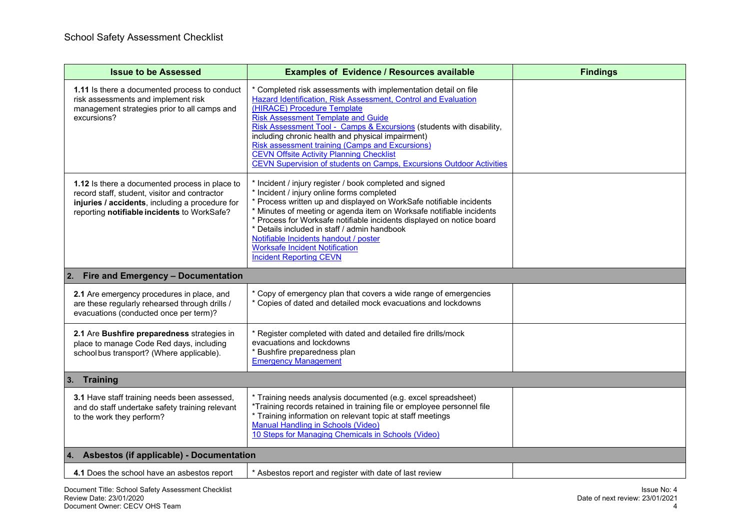| <b>Issue to be Assessed</b>                                                                                                                                                                       | <b>Examples of Evidence / Resources available</b>                                                                                                                                                                                                                                                                                                                                                                                                                                                                               | <b>Findings</b> |
|---------------------------------------------------------------------------------------------------------------------------------------------------------------------------------------------------|---------------------------------------------------------------------------------------------------------------------------------------------------------------------------------------------------------------------------------------------------------------------------------------------------------------------------------------------------------------------------------------------------------------------------------------------------------------------------------------------------------------------------------|-----------------|
| 1.11 Is there a documented process to conduct<br>risk assessments and implement risk<br>management strategies prior to all camps and<br>excursions?                                               | * Completed risk assessments with implementation detail on file<br>Hazard Identification, Risk Assessment, Control and Evaluation<br>(HIRACE) Procedure Template<br><b>Risk Assessment Template and Guide</b><br>Risk Assessment Tool - Camps & Excursions (students with disability,<br>including chronic health and physical impairment)<br><b>Risk assessment training (Camps and Excursions)</b><br><b>CEVN Offsite Activity Planning Checklist</b><br>CEVN Supervision of students on Camps, Excursions Outdoor Activities |                 |
| 1.12 Is there a documented process in place to<br>record staff, student, visitor and contractor<br>injuries / accidents, including a procedure for<br>reporting notifiable incidents to WorkSafe? | * Incident / injury register / book completed and signed<br>* Incident / injury online forms completed<br>* Process written up and displayed on WorkSafe notifiable incidents<br>* Minutes of meeting or agenda item on Worksafe notifiable incidents<br>* Process for Worksafe notifiable incidents displayed on notice board<br>* Details included in staff / admin handbook<br>Notifiable Incidents handout / poster<br><b>Worksafe Incident Notification</b><br><b>Incident Reporting CEVN</b>                              |                 |
| Fire and Emergency - Documentation<br>2.                                                                                                                                                          |                                                                                                                                                                                                                                                                                                                                                                                                                                                                                                                                 |                 |
| 2.1 Are emergency procedures in place, and<br>are these regularly rehearsed through drills /<br>evacuations (conducted once per term)?                                                            | * Copy of emergency plan that covers a wide range of emergencies<br>* Copies of dated and detailed mock evacuations and lockdowns                                                                                                                                                                                                                                                                                                                                                                                               |                 |
| 2.1 Are Bushfire preparedness strategies in<br>place to manage Code Red days, including<br>school bus transport? (Where applicable).                                                              | * Register completed with dated and detailed fire drills/mock<br>evacuations and lockdowns<br>* Bushfire preparedness plan<br><b>Emergency Management</b>                                                                                                                                                                                                                                                                                                                                                                       |                 |
| 3. Training                                                                                                                                                                                       |                                                                                                                                                                                                                                                                                                                                                                                                                                                                                                                                 |                 |
| 3.1 Have staff training needs been assessed,<br>and do staff undertake safety training relevant<br>to the work they perform?                                                                      | * Training needs analysis documented (e.g. excel spreadsheet)<br>*Training records retained in training file or employee personnel file<br>* Training information on relevant topic at staff meetings<br><b>Manual Handling in Schools (Video)</b><br>10 Steps for Managing Chemicals in Schools (Video)                                                                                                                                                                                                                        |                 |
| Asbestos (if applicable) - Documentation<br>4.                                                                                                                                                    |                                                                                                                                                                                                                                                                                                                                                                                                                                                                                                                                 |                 |
| 4.1 Does the school have an asbestos report                                                                                                                                                       | * Asbestos report and register with date of last review                                                                                                                                                                                                                                                                                                                                                                                                                                                                         |                 |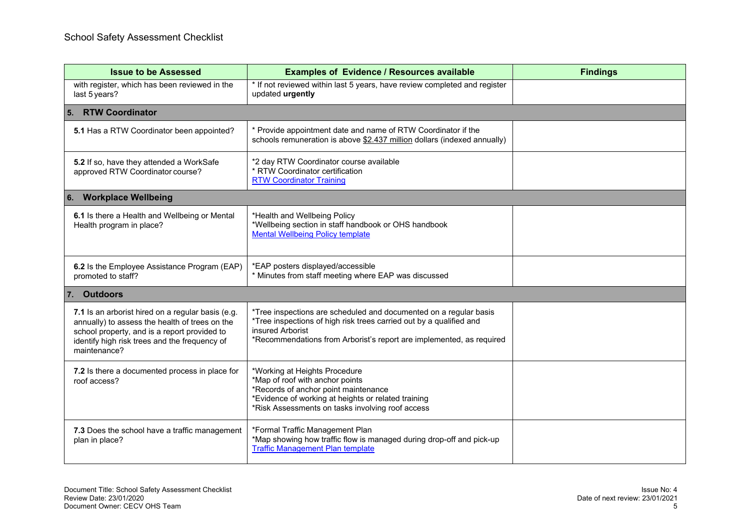| <b>Issue to be Assessed</b>                                                                                                                                                                                          | <b>Examples of Evidence / Resources available</b>                                                                                                                                                                                    | <b>Findings</b> |
|----------------------------------------------------------------------------------------------------------------------------------------------------------------------------------------------------------------------|--------------------------------------------------------------------------------------------------------------------------------------------------------------------------------------------------------------------------------------|-----------------|
| with register, which has been reviewed in the<br>last 5 years?                                                                                                                                                       | * If not reviewed within last 5 years, have review completed and register<br>updated urgently                                                                                                                                        |                 |
| 5. RTW Coordinator                                                                                                                                                                                                   |                                                                                                                                                                                                                                      |                 |
| 5.1 Has a RTW Coordinator been appointed?                                                                                                                                                                            | * Provide appointment date and name of RTW Coordinator if the<br>schools remuneration is above \$2.437 million dollars (indexed annually)                                                                                            |                 |
| 5.2 If so, have they attended a WorkSafe<br>approved RTW Coordinator course?                                                                                                                                         | *2 day RTW Coordinator course available<br>* RTW Coordinator certification<br><b>RTW Coordinator Training</b>                                                                                                                        |                 |
| 6. Workplace Wellbeing                                                                                                                                                                                               |                                                                                                                                                                                                                                      |                 |
| 6.1 Is there a Health and Wellbeing or Mental<br>Health program in place?                                                                                                                                            | *Health and Wellbeing Policy<br>*Wellbeing section in staff handbook or OHS handbook<br><b>Mental Wellbeing Policy template</b>                                                                                                      |                 |
| 6.2 Is the Employee Assistance Program (EAP)<br>promoted to staff?                                                                                                                                                   | *EAP posters displayed/accessible<br>* Minutes from staff meeting where EAP was discussed                                                                                                                                            |                 |
| 7. Outdoors                                                                                                                                                                                                          |                                                                                                                                                                                                                                      |                 |
| 7.1 Is an arborist hired on a regular basis (e.g.<br>annually) to assess the health of trees on the<br>school property, and is a report provided to<br>identify high risk trees and the frequency of<br>maintenance? | *Tree inspections are scheduled and documented on a regular basis<br>*Tree inspections of high risk trees carried out by a qualified and<br>insured Arborist<br>*Recommendations from Arborist's report are implemented, as required |                 |
| 7.2 Is there a documented process in place for<br>roof access?                                                                                                                                                       | *Working at Heights Procedure<br>*Map of roof with anchor points<br>*Records of anchor point maintenance<br>*Evidence of working at heights or related training<br>*Risk Assessments on tasks involving roof access                  |                 |
| 7.3 Does the school have a traffic management<br>plan in place?                                                                                                                                                      | *Formal Traffic Management Plan<br>*Map showing how traffic flow is managed during drop-off and pick-up<br><b>Traffic Management Plan template</b>                                                                                   |                 |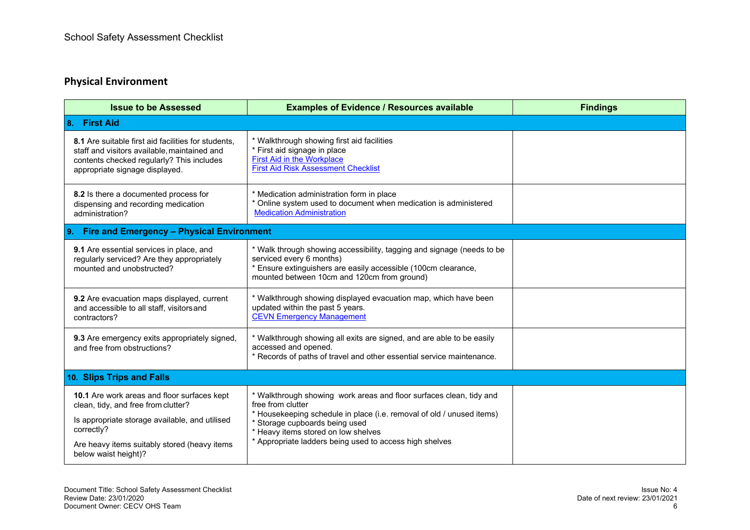## **Physical Environment**

| <b>Issue to be Assessed</b>                                                                                                                                                                        | <b>Examples of Evidence / Resources available</b>                                                                                                                                                                                                                                                     | <b>Findings</b> |  |  |
|----------------------------------------------------------------------------------------------------------------------------------------------------------------------------------------------------|-------------------------------------------------------------------------------------------------------------------------------------------------------------------------------------------------------------------------------------------------------------------------------------------------------|-----------------|--|--|
| 8. First Aid                                                                                                                                                                                       |                                                                                                                                                                                                                                                                                                       |                 |  |  |
| 8.1 Are suitable first aid facilities for students,<br>staff and visitors available, maintained and<br>contents checked regularly? This includes<br>appropriate signage displayed.                 | * Walkthrough showing first aid facilities<br>* First aid signage in place<br>First Aid in the Workplace<br><b>First Aid Risk Assessment Checklist</b>                                                                                                                                                |                 |  |  |
| 8.2 Is there a documented process for<br>dispensing and recording medication<br>administration?                                                                                                    | * Medication administration form in place<br>* Online system used to document when medication is administered<br><b>Medication Administration</b>                                                                                                                                                     |                 |  |  |
| 9. Fire and Emergency - Physical Environment                                                                                                                                                       |                                                                                                                                                                                                                                                                                                       |                 |  |  |
| 9.1 Are essential services in place, and<br>regularly serviced? Are they appropriately<br>mounted and unobstructed?                                                                                | * Walk through showing accessibility, tagging and signage (needs to be<br>serviced every 6 months)<br>* Ensure extinguishers are easily accessible (100cm clearance,<br>mounted between 10cm and 120cm from ground)                                                                                   |                 |  |  |
| 9.2 Are evacuation maps displayed, current<br>and accessible to all staff, visitors and<br>contractors?                                                                                            | * Walkthrough showing displayed evacuation map, which have been<br>updated within the past 5 years.<br><b>CEVN Emergency Management</b>                                                                                                                                                               |                 |  |  |
| 9.3 Are emergency exits appropriately signed,<br>and free from obstructions?                                                                                                                       | * Walkthrough showing all exits are signed, and are able to be easily<br>accessed and opened.<br>* Records of paths of travel and other essential service maintenance.                                                                                                                                |                 |  |  |
| 10. Slips Trips and Falls                                                                                                                                                                          |                                                                                                                                                                                                                                                                                                       |                 |  |  |
| 10.1 Are work areas and floor surfaces kept<br>clean, tidy, and free from clutter?<br>Is appropriate storage available, and utilised<br>correctly?<br>Are heavy items suitably stored (heavy items | * Walkthrough showing work areas and floor surfaces clean, tidy and<br>free from clutter<br>* Housekeeping schedule in place (i.e. removal of old / unused items)<br>* Storage cupboards being used<br>* Heavy items stored on low shelves<br>* Appropriate ladders being used to access high shelves |                 |  |  |
| below waist height)?                                                                                                                                                                               |                                                                                                                                                                                                                                                                                                       |                 |  |  |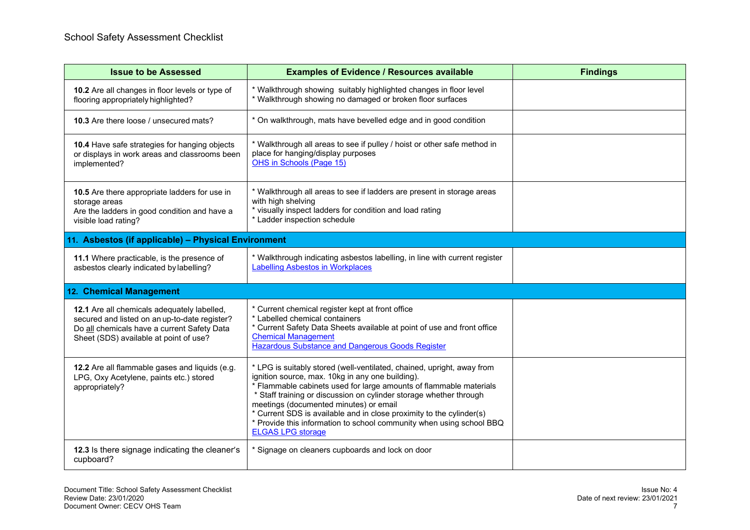| <b>Issue to be Assessed</b>                                                                                                                                                                  | <b>Examples of Evidence / Resources available</b>                                                                                                                                                                                                                                                                                                                                                                                                                                            | <b>Findings</b> |
|----------------------------------------------------------------------------------------------------------------------------------------------------------------------------------------------|----------------------------------------------------------------------------------------------------------------------------------------------------------------------------------------------------------------------------------------------------------------------------------------------------------------------------------------------------------------------------------------------------------------------------------------------------------------------------------------------|-----------------|
| 10.2 Are all changes in floor levels or type of<br>flooring appropriately highlighted?                                                                                                       | * Walkthrough showing suitably highlighted changes in floor level<br>* Walkthrough showing no damaged or broken floor surfaces                                                                                                                                                                                                                                                                                                                                                               |                 |
| 10.3 Are there loose / unsecured mats?                                                                                                                                                       | * On walkthrough, mats have bevelled edge and in good condition                                                                                                                                                                                                                                                                                                                                                                                                                              |                 |
| 10.4 Have safe strategies for hanging objects<br>or displays in work areas and classrooms been<br>implemented?                                                                               | * Walkthrough all areas to see if pulley / hoist or other safe method in<br>place for hanging/display purposes<br>OHS in Schools (Page 15)                                                                                                                                                                                                                                                                                                                                                   |                 |
| 10.5 Are there appropriate ladders for use in<br>storage areas<br>Are the ladders in good condition and have a<br>visible load rating?                                                       | * Walkthrough all areas to see if ladders are present in storage areas<br>with high shelving<br>* visually inspect ladders for condition and load rating<br>* Ladder inspection schedule                                                                                                                                                                                                                                                                                                     |                 |
| 11. Asbestos (if applicable) - Physical Environment                                                                                                                                          |                                                                                                                                                                                                                                                                                                                                                                                                                                                                                              |                 |
| 11.1 Where practicable, is the presence of<br>asbestos clearly indicated by labelling?                                                                                                       | * Walkthrough indicating asbestos labelling, in line with current register<br><b>Labelling Asbestos in Workplaces</b>                                                                                                                                                                                                                                                                                                                                                                        |                 |
| 12. Chemical Management                                                                                                                                                                      |                                                                                                                                                                                                                                                                                                                                                                                                                                                                                              |                 |
| <b>12.1</b> Are all chemicals adequately labelled,<br>secured and listed on an up-to-date register?<br>Do all chemicals have a current Safety Data<br>Sheet (SDS) available at point of use? | * Current chemical register kept at front office<br>* Labelled chemical containers<br>* Current Safety Data Sheets available at point of use and front office<br><b>Chemical Management</b><br><b>Hazardous Substance and Dangerous Goods Register</b>                                                                                                                                                                                                                                       |                 |
| 12.2 Are all flammable gases and liquids (e.g.<br>LPG, Oxy Acetylene, paints etc.) stored<br>appropriately?                                                                                  | * LPG is suitably stored (well-ventilated, chained, upright, away from<br>ignition source, max. 10kg in any one building).<br>* Flammable cabinets used for large amounts of flammable materials<br>* Staff training or discussion on cylinder storage whether through<br>meetings (documented minutes) or email<br>* Current SDS is available and in close proximity to the cylinder(s)<br>* Provide this information to school community when using school BBQ<br><b>ELGAS LPG storage</b> |                 |
| 12.3 Is there signage indicating the cleaner's<br>cupboard?                                                                                                                                  | * Signage on cleaners cupboards and lock on door                                                                                                                                                                                                                                                                                                                                                                                                                                             |                 |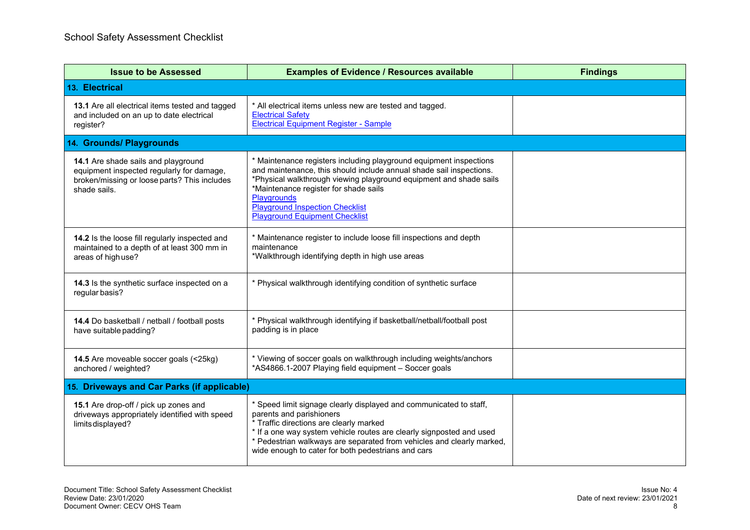| <b>Issue to be Assessed</b>                                                                                                                      | <b>Examples of Evidence / Resources available</b>                                                                                                                                                                                                                                                                                                          | <b>Findings</b> |  |
|--------------------------------------------------------------------------------------------------------------------------------------------------|------------------------------------------------------------------------------------------------------------------------------------------------------------------------------------------------------------------------------------------------------------------------------------------------------------------------------------------------------------|-----------------|--|
| 13. Electrical                                                                                                                                   |                                                                                                                                                                                                                                                                                                                                                            |                 |  |
| 13.1 Are all electrical items tested and tagged<br>and included on an up to date electrical<br>register?                                         | * All electrical items unless new are tested and tagged.<br><b>Electrical Safety</b><br><b>Electrical Equipment Register - Sample</b>                                                                                                                                                                                                                      |                 |  |
| 14. Grounds/ Playgrounds                                                                                                                         |                                                                                                                                                                                                                                                                                                                                                            |                 |  |
| 14.1 Are shade sails and playground<br>equipment inspected regularly for damage,<br>broken/missing or loose parts? This includes<br>shade sails. | * Maintenance registers including playground equipment inspections<br>and maintenance, this should include annual shade sail inspections.<br>*Physical walkthrough viewing playground equipment and shade sails<br>*Maintenance register for shade sails<br>Playgrounds<br><b>Playground Inspection Checklist</b><br><b>Playground Equipment Checklist</b> |                 |  |
| 14.2 Is the loose fill regularly inspected and<br>maintained to a depth of at least 300 mm in<br>areas of high use?                              | * Maintenance register to include loose fill inspections and depth<br>maintenance<br>*Walkthrough identifying depth in high use areas                                                                                                                                                                                                                      |                 |  |
| 14.3 Is the synthetic surface inspected on a<br>regular basis?                                                                                   | * Physical walkthrough identifying condition of synthetic surface                                                                                                                                                                                                                                                                                          |                 |  |
| 14.4 Do basketball / netball / football posts<br>have suitable padding?                                                                          | * Physical walkthrough identifying if basketball/netball/football post<br>padding is in place                                                                                                                                                                                                                                                              |                 |  |
| 14.5 Are moveable soccer goals (<25kg)<br>anchored / weighted?                                                                                   | * Viewing of soccer goals on walkthrough including weights/anchors<br>*AS4866.1-2007 Playing field equipment - Soccer goals                                                                                                                                                                                                                                |                 |  |
| 15. Driveways and Car Parks (if applicable)                                                                                                      |                                                                                                                                                                                                                                                                                                                                                            |                 |  |
| 15.1 Are drop-off / pick up zones and<br>driveways appropriately identified with speed<br>limits displayed?                                      | * Speed limit signage clearly displayed and communicated to staff,<br>parents and parishioners<br>* Traffic directions are clearly marked<br>* If a one way system vehicle routes are clearly signposted and used<br>* Pedestrian walkways are separated from vehicles and clearly marked,<br>wide enough to cater for both pedestrians and cars           |                 |  |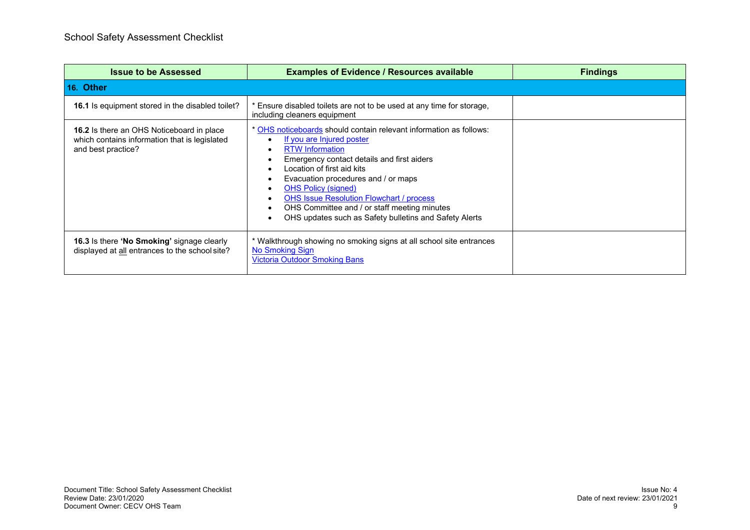| <b>Issue to be Assessed</b>                                                                                             | <b>Examples of Evidence / Resources available</b>                                                                                                                                                                                                                                                                                                                                                                                       | <b>Findings</b> |
|-------------------------------------------------------------------------------------------------------------------------|-----------------------------------------------------------------------------------------------------------------------------------------------------------------------------------------------------------------------------------------------------------------------------------------------------------------------------------------------------------------------------------------------------------------------------------------|-----------------|
| 16. Other                                                                                                               |                                                                                                                                                                                                                                                                                                                                                                                                                                         |                 |
| <b>16.1</b> Is equipment stored in the disabled toilet?                                                                 | Ensure disabled toilets are not to be used at any time for storage,<br>including cleaners equipment                                                                                                                                                                                                                                                                                                                                     |                 |
| <b>16.2</b> Is there an OHS Noticeboard in place<br>which contains information that is legislated<br>and best practice? | * OHS noticeboards should contain relevant information as follows:<br>If you are Injured poster<br><b>RTW Information</b><br>Emergency contact details and first aiders<br>Location of first aid kits<br>Evacuation procedures and / or maps<br><b>OHS Policy (signed)</b><br><b>OHS Issue Resolution Flowchart / process</b><br>OHS Committee and / or staff meeting minutes<br>OHS updates such as Safety bulletins and Safety Alerts |                 |
| <b>16.3</b> Is there 'No Smoking' signage clearly<br>displayed at all entrances to the school site?                     | * Walkthrough showing no smoking signs at all school site entrances<br>No Smoking Sign<br><b>Victoria Outdoor Smoking Bans</b>                                                                                                                                                                                                                                                                                                          |                 |